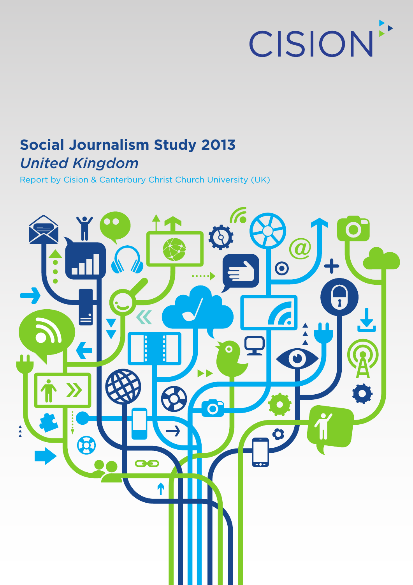

# **Social Journalism Study 2013** *United Kingdom*

Report by Cision & Canterbury Christ Church University (UK)

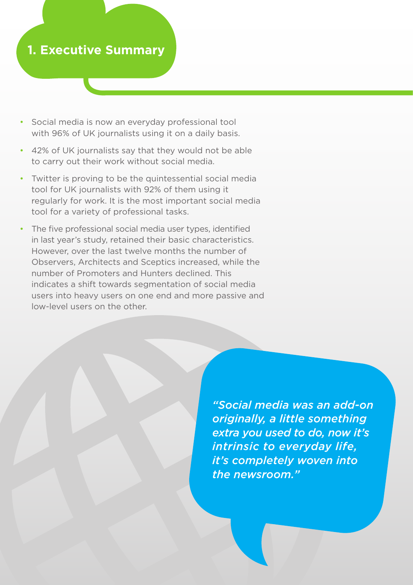### **1. Executive Summary**

- Social media is now an everyday professional tool with 96% of UK journalists using it on a daily basis.
- 42% of UK journalists say that they would not be able to carry out their work without social media.
- Twitter is proving to be the quintessential social media tool for UK journalists with 92% of them using it regularly for work. It is the most important social media tool for a variety of professional tasks.
- The five professional social media user types, identified in last year's study, retained their basic characteristics. However, over the last twelve months the number of Observers, Architects and Sceptics increased, while the number of Promoters and Hunters declined. This indicates a shift towards segmentation of social media users into heavy users on one end and more passive and low-level users on the other.

*"Social media was an add-on originally, a little something extra you used to do, now it's intrinsic to everyday life, it's completely woven into the newsroom."*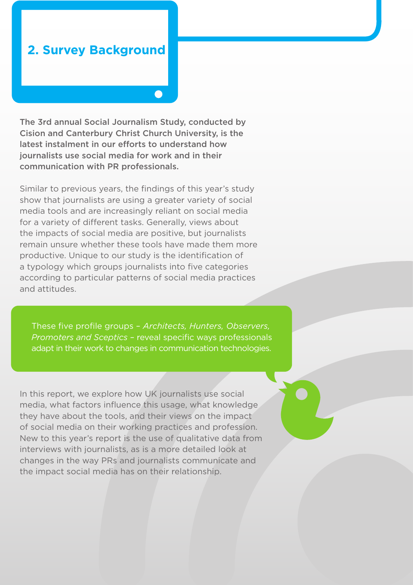### **2. Survey Background**

The 3rd annual Social Journalism Study, conducted by Cision and Canterbury Christ Church University, is the latest instalment in our efforts to understand how journalists use social media for work and in their communication with PR professionals.

Similar to previous years, the findings of this year's study show that journalists are using a greater variety of social media tools and are increasingly reliant on social media for a variety of different tasks. Generally, views about the impacts of social media are positive, but journalists remain unsure whether these tools have made them more productive. Unique to our study is the identification of a typology which groups journalists into five categories according to particular patterns of social media practices and attitudes.

These five profile groups – *Architects, Hunters, Observers, Promoters and Sceptics* – reveal specific ways professionals adapt in their work to changes in communication technologies.

In this report, we explore how UK journalists use social media, what factors influence this usage, what knowledge they have about the tools, and their views on the impact of social media on their working practices and profession. New to this year's report is the use of qualitative data from interviews with journalists, as is a more detailed look at changes in the way PRs and journalists communicate and the impact social media has on their relationship.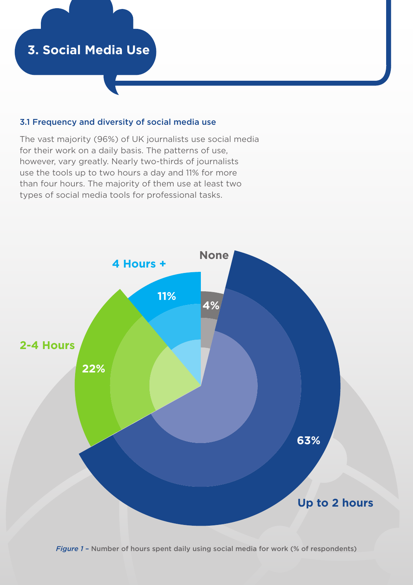#### 3.1 Frequency and diversity of social media use

The vast majority (96%) of UK journalists use social media for their work on a daily basis. The patterns of use, however, vary greatly. Nearly two-thirds of journalists use the tools up to two hours a day and 11% for more than four hours. The majority of them use at least two types of social media tools for professional tasks.



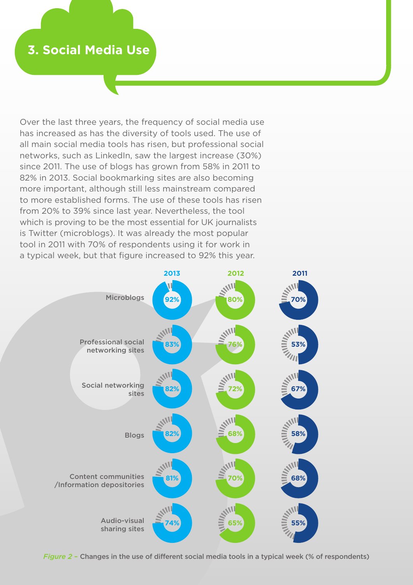Over the last three years, the frequency of social media use has increased as has the diversity of tools used. The use of all main social media tools has risen, but professional social networks, such as LinkedIn, saw the largest increase (30%) since 2011. The use of blogs has grown from 58% in 2011 to 82% in 2013. Social bookmarking sites are also becoming more important, although still less mainstream compared to more established forms. The use of these tools has risen from 20% to 39% since last year. Nevertheless, the tool which is proving to be the most essential for UK journalists is Twitter (microblogs). It was already the most popular tool in 2011 with 70% of respondents using it for work in a typical week, but that figure increased to 92% this year.



*Figure 2* – Changes in the use of different social media tools in a typical week (% of respondents)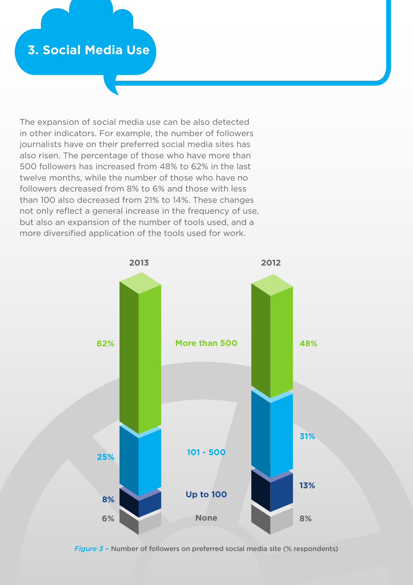The expansion of social media use can be also detected in other indicators. For example, the number of followers journalists have on their preferred social media sites has also risen. The percentage of those who have more than 500 followers has increased from 48% to 62% in the last twelve months, while the number of those who have no followers decreased from 8% to 6% and those with less than 100 also decreased from 21% to 14%. These changes not only reflect a general increase in the frequency of use, but also an expansion of the number of tools used, and a more diversified application of the tools used for work.



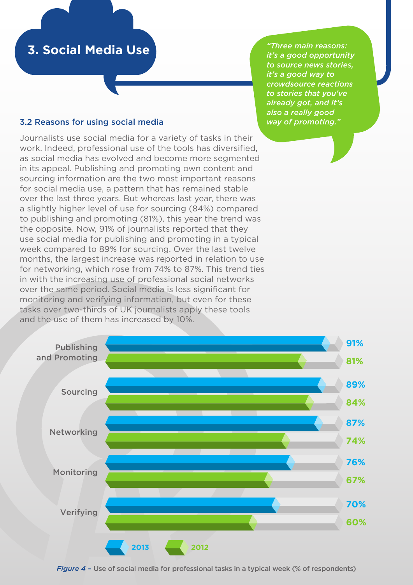#### *"Three main reasons: it's a good opportunity to source news stories, it's a good way to crowdsource reactions to stories that you've already got, and it's also a really good way of promoting."*

#### 3.2 Reasons for using social media

Journalists use social media for a variety of tasks in their work. Indeed, professional use of the tools has diversified, as social media has evolved and become more segmented in its appeal. Publishing and promoting own content and sourcing information are the two most important reasons for social media use, a pattern that has remained stable over the last three years. But whereas last year, there was a slightly higher level of use for sourcing (84%) compared to publishing and promoting (81%), this year the trend was the opposite. Now, 91% of journalists reported that they use social media for publishing and promoting in a typical week compared to 89% for sourcing. Over the last twelve months, the largest increase was reported in relation to use for networking, which rose from 74% to 87%. This trend ties in with the increasing use of professional social networks over the same period. Social media is less significant for monitoring and verifying information, but even for these tasks over two-thirds of UK journalists apply these tools and the use of them has increased by 10%.



*Figure 4* – Use of social media for professional tasks in a typical week (% of respondents)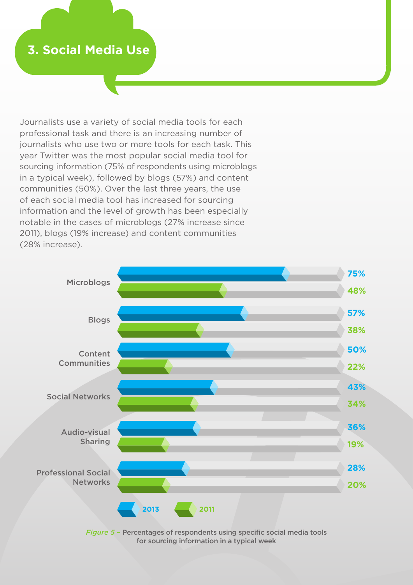Journalists use a variety of social media tools for each professional task and there is an increasing number of journalists who use two or more tools for each task. This year Twitter was the most popular social media tool for sourcing information (75% of respondents using microblogs in a typical week), followed by blogs (57%) and content communities (50%). Over the last three years, the use of each social media tool has increased for sourcing information and the level of growth has been especially notable in the cases of microblogs (27% increase since 2011), blogs (19% increase) and content communities (28% increase).



*Figure 5* – Percentages of respondents using specific social media tools for sourcing information in a typical week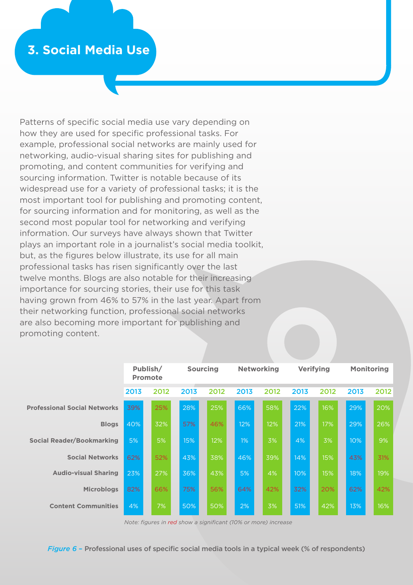Patterns of specific social media use vary depending on how they are used for specific professional tasks. For example, professional social networks are mainly used for networking, audio-visual sharing sites for publishing and promoting, and content communities for verifying and sourcing information. Twitter is notable because of its widespread use for a variety of professional tasks; it is the most important tool for publishing and promoting content, for sourcing information and for monitoring, as well as the second most popular tool for networking and verifying information. Our surveys have always shown that Twitter plays an important role in a journalist's social media toolkit, but, as the figures below illustrate, its use for all main professional tasks has risen significantly over the last twelve months. Blogs are also notable for their increasing importance for sourcing stories, their use for this task having grown from 46% to 57% in the last year. Apart from their networking function, professional social networks are also becoming more important for publishing and promoting content.

|                                     | Publish/<br><b>Promote</b> |      |      | <b>Sourcing</b> |       | <b>Networking</b> | <b>Verifying</b> |      |      | <b>Monitoring</b> |
|-------------------------------------|----------------------------|------|------|-----------------|-------|-------------------|------------------|------|------|-------------------|
|                                     | 2013                       | 2012 | 2013 | 2012            | 2013  | 2012              | 2013             | 2012 | 2013 | 2012              |
| <b>Professional Social Networks</b> | 39%                        | 25%  | 28%  | 25%             | 66%   | 58%               | 22%              | 16%  | 29%  | 20%               |
| <b>Blogs</b>                        | 40%                        | 32%  | 57%  | 46%             | 12%   | 12%               | 21%              | 17%  | 29%  | 26%               |
| Social Reader/Bookmarking           | 5%                         | 5%   | 15%  | 12%             | $1\%$ | 3%                | 4%               | 3%   | 10%  | 9%                |
| <b>Social Networks</b>              | 62%                        | 52%  | 43%  | 38%             | 46%   | 39%               | 14%              | 15%  | 43%  | 31%               |
| <b>Audio-visual Sharing</b>         | 23%                        | 27%  | 36%  | 43%             | 5%    | 4%                | 10%              | 15%  | 18%  | 19%               |
| <b>Microblogs</b>                   | 82%                        | 66%  | 75%  | 56%             | 64%   | 42%               | 32%              | 20%  | 62%  | 42%               |
| <b>Content Communities</b>          | 4%                         | 7%   | 50%  | 50%             | 2%    | 3%                | 51%              | 42%  | 13%  | 16%               |

*Note: figures in red show a significant (10% or more) increase*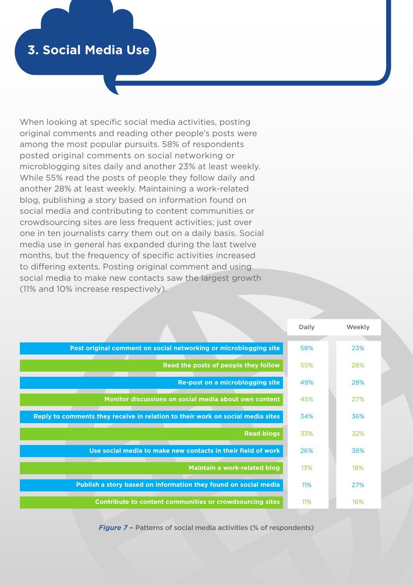When looking at specific social media activities, posting original comments and reading other people's posts were among the most popular pursuits. 58% of respondents posted original comments on social networking or microblogging sites daily and another 23% at least weekly. While 55% read the posts of people they follow daily and another 28% at least weekly. Maintaining a work-related blog, publishing a story based on information found on social media and contributing to content communities or crowdsourcing sites are less frequent activities; just over one in ten journalists carry them out on a daily basis. Social media use in general has expanded during the last twelve months, but the frequency of specific activities increased to differing extents. Posting original comment and using social media to make new contacts saw the largest growth (11% and 10% increase respectively).

|                                                                                | Daily      | Weekly |
|--------------------------------------------------------------------------------|------------|--------|
| Post original comment on social networking or microblogging site               | 58%        | 23%    |
| Read the posts of people they follow                                           | 55%        | 28%    |
|                                                                                |            |        |
| Re-post on a microblogging site                                                | 49%        | 28%    |
| Monitor discussions on social media about own content                          | 45%        | 27%    |
| Reply to comments they receive in relation to their work on social media sites | 34%        | 36%    |
| <b>Read blogs</b>                                                              | 33%        | 32%    |
| Use social media to make new contacts in their field of work                   | 26%        | 38%    |
| Maintain a work-related blog                                                   | 13%        | 18%    |
| Publish a story based on information they found on social media                | <b>11%</b> | 27%    |
| Contribute to content communities or crowdsourcing sites                       | 11%        | 16%    |

*Figure 7* – Patterns of social media activities (% of respondents)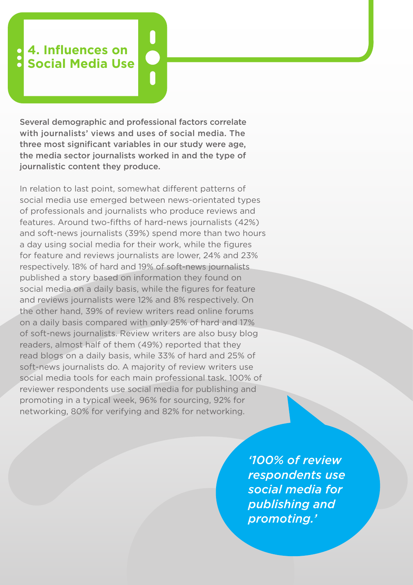# **4. Influences on Social Media Use**

Several demographic and professional factors correlate with journalists' views and uses of social media. The three most significant variables in our study were age, the media sector journalists worked in and the type of journalistic content they produce.

0<br>0<br>0

In relation to last point, somewhat different patterns of social media use emerged between news-orientated types of professionals and journalists who produce reviews and features. Around two-fifths of hard-news journalists (42%) and soft-news journalists (39%) spend more than two hours a day using social media for their work, while the figures for feature and reviews journalists are lower, 24% and 23% respectively. 18% of hard and 19% of soft-news journalists published a story based on information they found on social media on a daily basis, while the figures for feature and reviews journalists were 12% and 8% respectively. On the other hand, 39% of review writers read online forums on a daily basis compared with only 25% of hard and 17% of soft-news journalists. Review writers are also busy blog readers, almost half of them (49%) reported that they read blogs on a daily basis, while 33% of hard and 25% of soft-news journalists do. A majority of review writers use social media tools for each main professional task. 100% of reviewer respondents use social media for publishing and promoting in a typical week, 96% for sourcing, 92% for networking, 80% for verifying and 82% for networking.

> *'100% of review respondents use social media for publishing and promoting.'*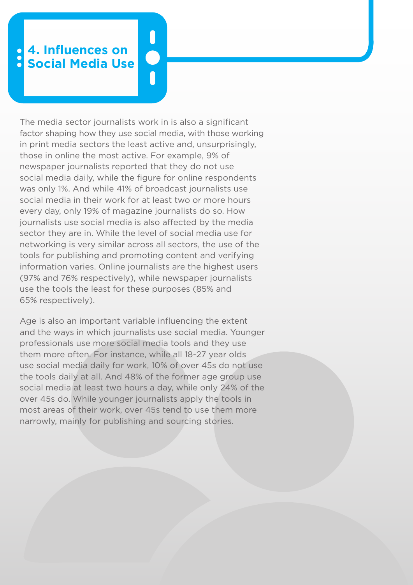## **4. Influences on Social Media Use**

The media sector journalists work in is also a significant factor shaping how they use social media, with those working in print media sectors the least active and, unsurprisingly, those in online the most active. For example, 9% of newspaper journalists reported that they do not use social media daily, while the figure for online respondents was only 1%. And while 41% of broadcast journalists use social media in their work for at least two or more hours every day, only 19% of magazine journalists do so. How journalists use social media is also affected by the media sector they are in. While the level of social media use for networking is very similar across all sectors, the use of the tools for publishing and promoting content and verifying information varies. Online journalists are the highest users (97% and 76% respectively), while newspaper journalists use the tools the least for these purposes (85% and 65% respectively).

Age is also an important variable influencing the extent and the ways in which journalists use social media. Younger professionals use more social media tools and they use them more often. For instance, while all 18-27 year olds use social media daily for work, 10% of over 45s do not use the tools daily at all. And 48% of the former age group use social media at least two hours a day, while only 24% of the over 45s do. While younger journalists apply the tools in most areas of their work, over 45s tend to use them more narrowly, mainly for publishing and sourcing stories.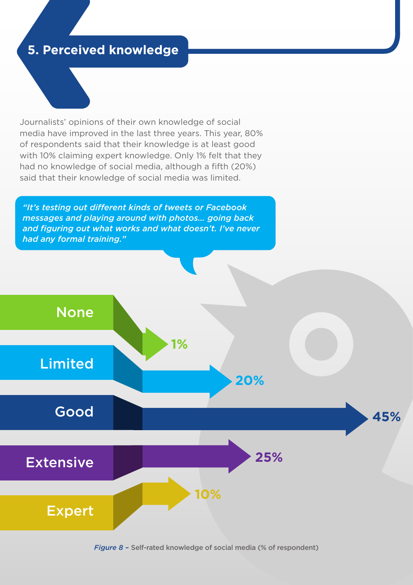### **5. Perceived knowledge**

Journalists' opinions of their own knowledge of social media have improved in the last three years. This year, 80% of respondents said that their knowledge is at least good with 10% claiming expert knowledge. Only 1% felt that they had no knowledge of social media, although a fifth (20%) said that their knowledge of social media was limited.

*"It's testing out different kinds of tweets or Facebook messages and playing around with photos… going back and figuring out what works and what doesn't. I've never had any formal training."*

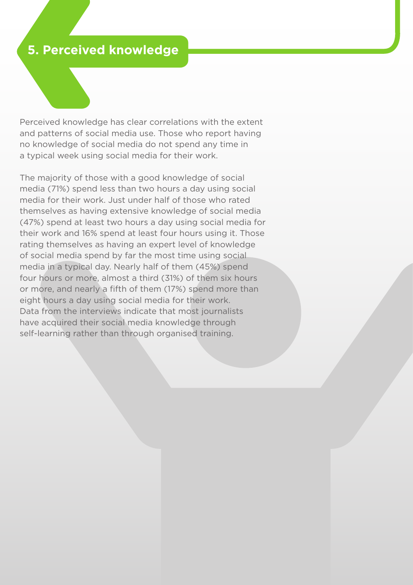## **5. Perceived knowledge**

Perceived knowledge has clear correlations with the extent and patterns of social media use. Those who report having no knowledge of social media do not spend any time in a typical week using social media for their work.

The majority of those with a good knowledge of social media (71%) spend less than two hours a day using social media for their work. Just under half of those who rated themselves as having extensive knowledge of social media (47%) spend at least two hours a day using social media for their work and 16% spend at least four hours using it. Those rating themselves as having an expert level of knowledge of social media spend by far the most time using social media in a typical day. Nearly half of them (45%) spend four hours or more, almost a third (31%) of them six hours or more, and nearly a fifth of them (17%) spend more than eight hours a day using social media for their work. Data from the interviews indicate that most journalists have acquired their social media knowledge through self-learning rather than through organised training.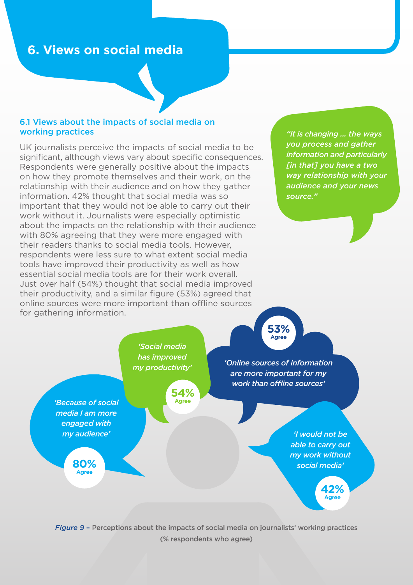#### 6.1 Views about the impacts of social media on working practices

UK journalists perceive the impacts of social media to be significant, although views vary about specific consequences. Respondents were generally positive about the impacts on how they promote themselves and their work, on the relationship with their audience and on how they gather information. 42% thought that social media was so important that they would not be able to carry out their work without it. Journalists were especially optimistic about the impacts on the relationship with their audience with 80% agreeing that they were more engaged with their readers thanks to social media tools. However, respondents were less sure to what extent social media tools have improved their productivity as well as how essential social media tools are for their work overall. Just over half (54%) thought that social media improved their productivity, and a similar figure (53%) agreed that online sources were more important than offline sources for gathering information.

*"It is changing ... the ways you process and gather information and particularly [in that] you have a two way relationship with your audience and your news source."*

**53%**

*Figure 9* – Perceptions about the impacts of social media on journalists' working practices (% respondents who agree)

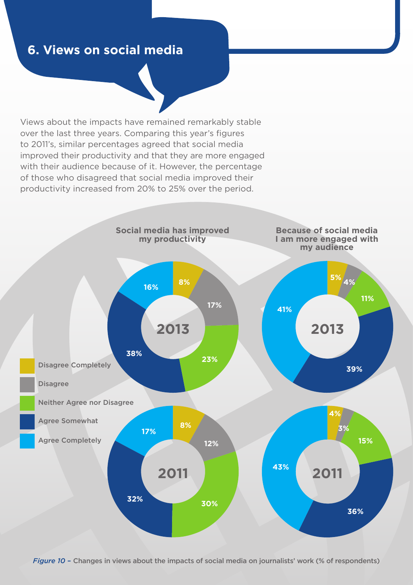Views about the impacts have remained remarkably stable over the last three years. Comparing this year's figures to 2011's, similar percentages agreed that social media improved their productivity and that they are more engaged with their audience because of it. However, the percentage of those who disagreed that social media improved their productivity increased from 20% to 25% over the period.

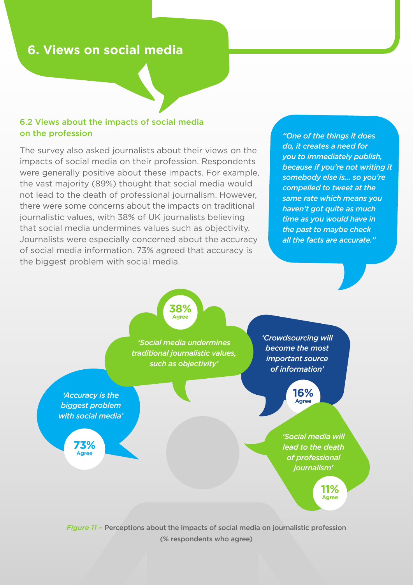#### 6.2 Views about the impacts of social media on the profession

The survey also asked journalists about their views on the impacts of social media on their profession. Respondents were generally positive about these impacts. For example, the vast majority (89%) thought that social media would not lead to the death of professional journalism. However, there were some concerns about the impacts on traditional journalistic values, with 38% of UK journalists believing that social media undermines values such as objectivity. Journalists were especially concerned about the accuracy of social media information. 73% agreed that accuracy is the biggest problem with social media.

*"One of the things it does do, it creates a need for you to immediately publish, because if you're not writing it somebody else is... so you're compelled to tweet at the same rate which means you haven't got quite as much time as you would have in the past to maybe check all the facts are accurate."*

**38% Agree**

*'Social media undermines traditional journalistic values, such as objectivity'*

*'Accuracy is the biggest problem with social media'*

> **73% Agree**

*'Crowdsourcing will become the most important source of information'*

> **16% Agree**

*'Social media will lead to the death of professional journalism'*

> **11% Agree**

*Figure 11* – Perceptions about the impacts of social media on journalistic profession (% respondents who agree)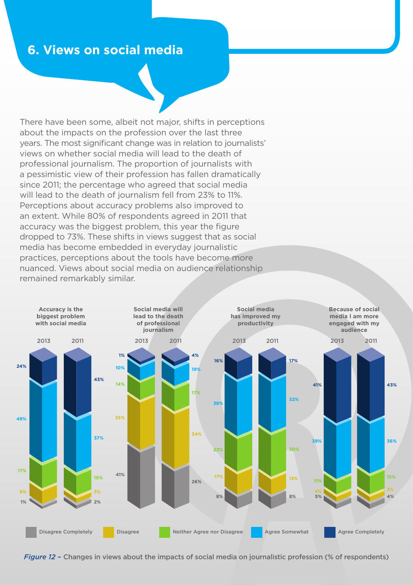There have been some, albeit not major, shifts in perceptions about the impacts on the profession over the last three years. The most significant change was in relation to journalists' views on whether social media will lead to the death of professional journalism. The proportion of journalists with a pessimistic view of their profession has fallen dramatically since 2011; the percentage who agreed that social media will lead to the death of journalism fell from 23% to 11%. Perceptions about accuracy problems also improved to an extent. While 80% of respondents agreed in 2011 that accuracy was the biggest problem, this year the figure dropped to 73%. These shifts in views suggest that as social media has become embedded in everyday journalistic practices, perceptions about the tools have become more nuanced. Views about social media on audience relationship remained remarkably similar.



*Figure 12* – Changes in views about the impacts of social media on journalistic profession (% of respondents)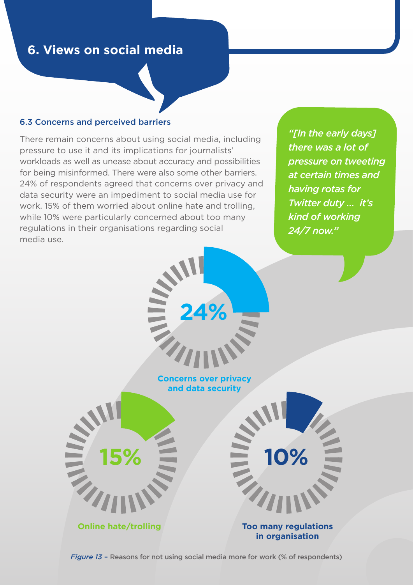#### 6.3 Concerns and perceived barriers

There remain concerns about using social media, including pressure to use it and its implications for journalists' workloads as well as unease about accuracy and possibilities for being misinformed. There were also some other barriers. 24% of respondents agreed that concerns over privacy and data security were an impediment to social media use for work. 15% of them worried about online hate and trolling, while 10% were particularly concerned about too many regulations in their organisations regarding social media use.

*"[In the early days] there was a lot of pressure on tweeting at certain times and having rotas for Twitter duty ... it's kind of working 24/7 now."*



*Figure 13* – Reasons for not using social media more for work (% of respondents)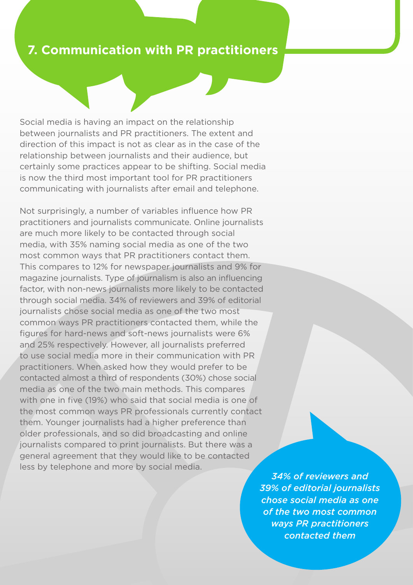### **7. Communication with PR practitioners**

Social media is having an impact on the relationship between journalists and PR practitioners. The extent and direction of this impact is not as clear as in the case of the relationship between journalists and their audience, but certainly some practices appear to be shifting. Social media is now the third most important tool for PR practitioners communicating with journalists after email and telephone.

Not surprisingly, a number of variables influence how PR practitioners and journalists communicate. Online journalists are much more likely to be contacted through social media, with 35% naming social media as one of the two most common ways that PR practitioners contact them. This compares to 12% for newspaper journalists and 9% for magazine journalists. Type of journalism is also an influencing factor, with non-news journalists more likely to be contacted through social media. 34% of reviewers and 39% of editorial journalists chose social media as one of the two most common ways PR practitioners contacted them, while the figures for hard-news and soft-news journalists were 6% and 25% respectively. However, all journalists preferred to use social media more in their communication with PR practitioners. When asked how they would prefer to be contacted almost a third of respondents (30%) chose social media as one of the two main methods. This compares with one in five (19%) who said that social media is one of the most common ways PR professionals currently contact them. Younger journalists had a higher preference than older professionals, and so did broadcasting and online journalists compared to print journalists. But there was a general agreement that they would like to be contacted less by telephone and more by social media.

*34% of reviewers and 39% of editorial journalists chose social media as one of the two most common ways PR practitioners contacted them*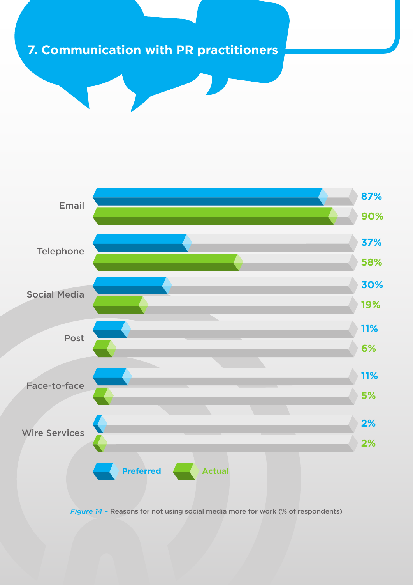## **7. Communication with PR practitioners**



*Figure 14* – Reasons for not using social media more for work (% of respondents)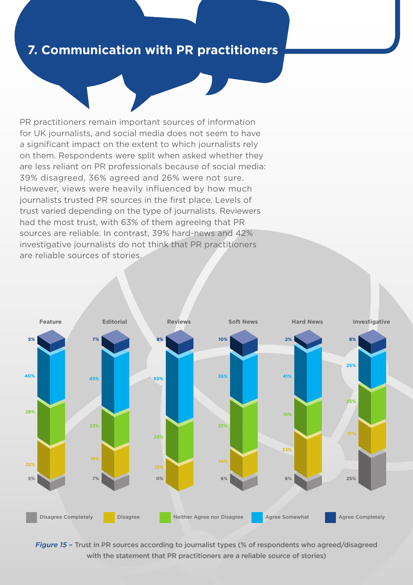### **7. Communication with PR practitioners**

PR practitioners remain important sources of information for UK journalists, and social media does not seem to have a significant impact on the extent to which journalists rely on them. Respondents were split when asked whether they are less reliant on PR professionals because of social media: 39% disagreed, 36% agreed and 26% were not sure. However, views were heavily influenced by how much journalists trusted PR sources in the first place. Levels of trust varied depending on the type of journalists. Reviewers had the most trust, with 63% of them agreeing that PR sources are reliable. In contrast, 39% hard-news and 42% investigative journalists do not think that PR practitioners are reliable sources of stories.



*Figure 15* – Trust in PR sources according to journalist types (% of respondents who agreed/disagreed with the statement that PR practitioners are a reliable source of stories)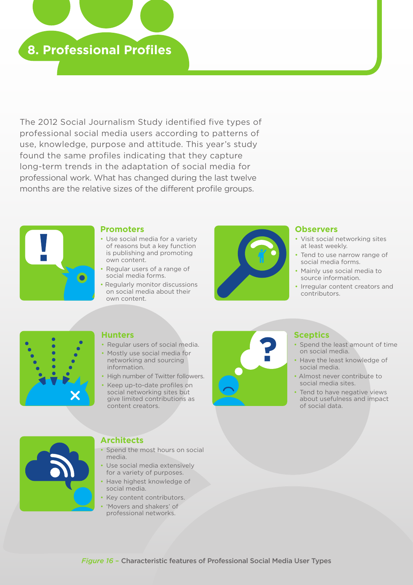

The 2012 Social Journalism Study identified five types of professional social media users according to patterns of use, knowledge, purpose and attitude. This year's study found the same profiles indicating that they capture long-term trends in the adaptation of social media for professional work. What has changed during the last twelve months are the relative sizes of the different profile groups.



#### **Promoters**

- Use social media for a variety of reasons but a key function is publishing and promoting own content.
- Regular users of a range of social media forms.
- Regularly monitor discussions on social media about their own content.



#### **Observers**

- Visit social networking sites at least weekly.
- Tend to use narrow range of social media forms.
- Mainly use social media to source information.
- Irregular content creators and contributors.



#### **Hunters**

- Regular users of social media.
- Mostly use social media for networking and sourcing information.
- High number of Twitter followers.
- Keep up-to-date profiles on social networking sites but give limited contributions as content creators.



#### **Sceptics**

- Spend the least amount of time on social media.
- Have the least knowledge of social media.
- Almost never contribute to social media sites.
- Tend to have negative views about usefulness and impact of social data.



#### **Architects**

- Spend the most hours on social media.
- Use social media extensively for a variety of purposes.
- Have highest knowledge of social media.
- Key content contributors.
- 'Movers and shakers' of professional networks.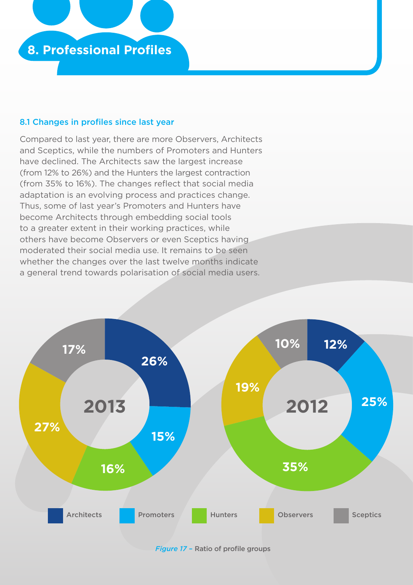

#### 8.1 Changes in profiles since last year

Compared to last year, there are more Observers, Architects and Sceptics, while the numbers of Promoters and Hunters have declined. The Architects saw the largest increase (from 12% to 26%) and the Hunters the largest contraction (from 35% to 16%). The changes reflect that social media adaptation is an evolving process and practices change. Thus, some of last year's Promoters and Hunters have become Architects through embedding social tools to a greater extent in their working practices, while others have become Observers or even Sceptics having moderated their social media use. It remains to be seen whether the changes over the last twelve months indicate a general trend towards polarisation of social media users.



*Figure 17* – Ratio of profile groups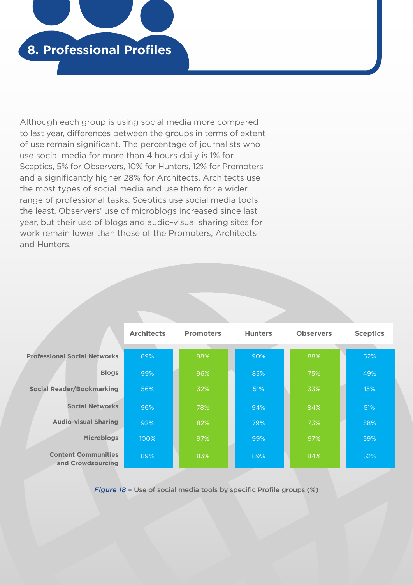

Although each group is using social media more compared to last year, differences between the groups in terms of extent of use remain significant. The percentage of journalists who use social media for more than 4 hours daily is 1% for Sceptics, 5% for Observers, 10% for Hunters, 12% for Promoters and a significantly higher 28% for Architects. Architects use the most types of social media and use them for a wider range of professional tasks. Sceptics use social media tools the least. Observers' use of microblogs increased since last year, but their use of blogs and audio-visual sharing sites for work remain lower than those of the Promoters, Architects and Hunters.

|                                                 | <b>Architects</b> | <b>Promoters</b> | <b>Hunters</b><br><b>Observers</b> |     | <b>Sceptics</b> |  |
|-------------------------------------------------|-------------------|------------------|------------------------------------|-----|-----------------|--|
| <b>Professional Social Networks</b>             | 89%               | 88%              | 90%                                | 88% | 52%             |  |
| <b>Blogs</b>                                    | 99%               | 96%              | 85%                                | 75% | 49%             |  |
| <b>Social Reader/Bookmarking</b>                | 56%               | 32%              | 51%                                | 33% | 15%             |  |
| <b>Social Networks</b>                          | 96%               | 78%              | 94%                                | 84% | 51%             |  |
| <b>Audio-visual Sharing</b>                     | 92%               | 82%              | 79%                                | 73% | 38%             |  |
| <b>Microblogs</b>                               | 100%              | 97%              | 99%                                | 97% | 59%             |  |
| <b>Content Communities</b><br>and Crowdsourcing | 89%               | 83%              | 89%                                | 84% | 52%             |  |

*Figure 18* – Use of social media tools by specific Profile groups (%)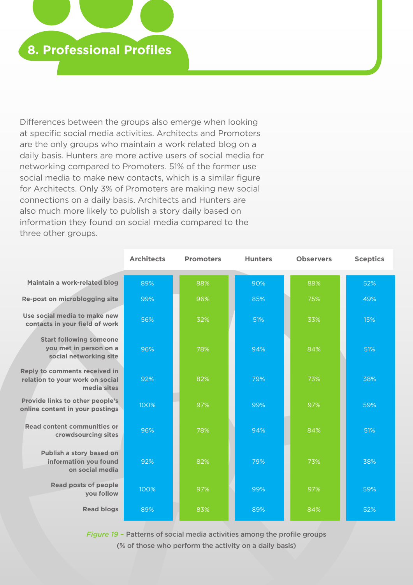

Differences between the groups also emerge when looking at specific social media activities. Architects and Promoters are the only groups who maintain a work related blog on a daily basis. Hunters are more active users of social media for networking compared to Promoters. 51% of the former use social media to make new contacts, which is a similar figure for Architects. Only 3% of Promoters are making new social connections on a daily basis. Architects and Hunters are also much more likely to publish a story daily based on information they found on social media compared to the three other groups.

|                                                                                        | <b>Architects</b> | <b>Promoters</b> | <b>Hunters</b> | <b>Observers</b> | <b>Sceptics</b> |
|----------------------------------------------------------------------------------------|-------------------|------------------|----------------|------------------|-----------------|
| Maintain a work-related blog                                                           | 89%               | 88%              | 90%            | 88%              | 52%             |
| Re-post on microblogging site                                                          | 99%               | 96%              | 85%            | 75%              | 49%             |
| Use social media to make new<br>contacts in your field of work                         | 56%               | 32%              | 51%            | 33%              | 15%             |
| <b>Start following someone</b><br>you met in person on a<br>social networking site     | 96%               | 78%              | 94%            | 84%              | 51%             |
| <b>Reply to comments received in</b><br>relation to your work on social<br>media sites | 92%               | 82%              | 79%            | 73%              | 38%             |
| Provide links to other people's<br>online content in your postings                     | 100%              | 97%              | 99%            | 97%              | 59%             |
| <b>Read content communities or</b><br>crowdsourcing sites                              | 96%               | 78%              | 94%            | 84%              | 51%             |
| Publish a story based on<br>information you found<br>on social media                   | 92%               | 82%              | 79%            | 73%              | 38%             |
| <b>Read posts of people</b><br>you follow                                              | 100%              | 97%              | 99%            | 97%              | 59%             |
| <b>Read blogs</b>                                                                      | 89%               | 83%              | 89%            | 84%              | 52%             |

*Figure 19* – Patterns of social media activities among the profile groups (% of those who perform the activity on a daily basis)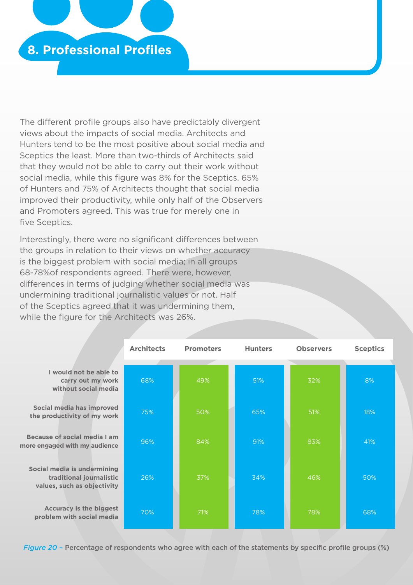

The different profile groups also have predictably divergent views about the impacts of social media. Architects and Hunters tend to be the most positive about social media and Sceptics the least. More than two-thirds of Architects said that they would not be able to carry out their work without social media, while this figure was 8% for the Sceptics. 65% of Hunters and 75% of Architects thought that social media improved their productivity, while only half of the Observers and Promoters agreed. This was true for merely one in five Sceptics.

Interestingly, there were no significant differences between the groups in relation to their views on whether accuracy is the biggest problem with social media; in all groups 68-78%of respondents agreed. There were, however, differences in terms of judging whether social media was undermining traditional journalistic values or not. Half of the Sceptics agreed that it was undermining them, while the figure for the Architects was 26%.

|                                                                                        | <b>Architects</b> | <b>Promoters</b> | <b>Hunters</b> | <b>Observers</b> | <b>Sceptics</b> |
|----------------------------------------------------------------------------------------|-------------------|------------------|----------------|------------------|-----------------|
|                                                                                        |                   |                  |                |                  |                 |
| I would not be able to<br>carry out my work<br>without social media                    | 68%               | 49%              | 51%            | 32%              | 8%              |
| Social media has improved<br>the productivity of my work                               | 75%               | 50%              | 65%            | 51%              | 18%             |
| Because of social media I am<br>more engaged with my audience                          | 96%               | 84%              | 91%            | 83%              | 41%             |
| Social media is undermining<br>traditional journalistic<br>values, such as objectivity | 26%               | 37%              | 34%            | 46%              | 50%             |
| <b>Accuracy is the biggest</b><br>problem with social media                            | 70%               | 71%              | 78%            | 78%              | 68%             |

*Figure 20* – Percentage of respondents who agree with each of the statements by specific profile groups (%)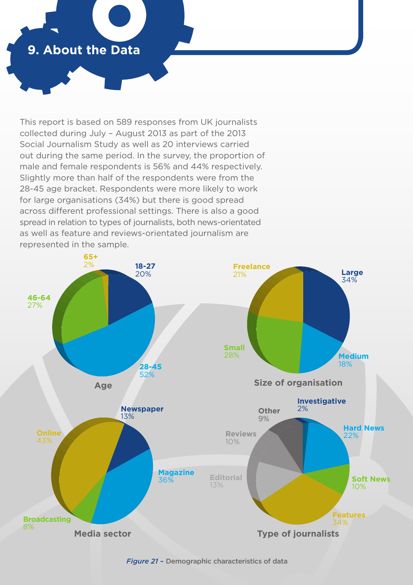## **9. About the Data**

This report is based on 589 responses from UK journalists collected during July – August 2013 as part of the 2013 Social Journalism Study as well as 20 interviews carried out during the same period. In the survey, the proportion of male and female respondents is 56% and 44% respectively. Slightly more than half of the respondents were from the 28-45 age bracket. Respondents were more likely to work for large organisations (34%) but there is good spread across different professional settings. There is also a good spread in relation to types of journalists, both news-orientated as well as feature and reviews-orientated journalism are represented in the sample.



*Figure 21* – Demographic characteristics of data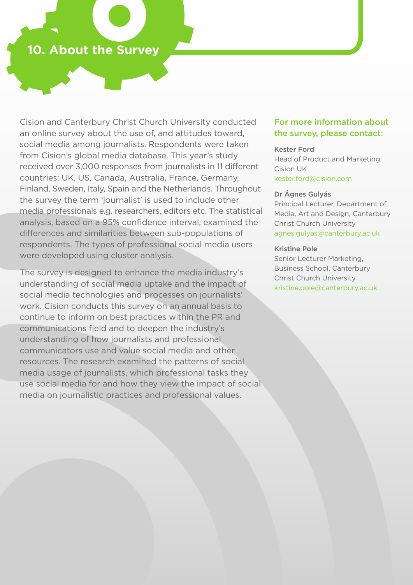### **10. About the Survey**

Cision and Canterbury Christ Church University conducted an online survey about the use of, and attitudes toward, social media among journalists. Respondents were taken from Cision's global media database. This year's study received over 3,000 responses from journalists in 11 different countries: UK, US, Canada, Australia, France, Germany, Finland, Sweden, Italy, Spain and the Netherlands. Throughout the survey the term 'journalist' is used to include other media professionals e.g. researchers, editors etc. The statistical analysis, based on a 95% confidence interval, examined the differences and similarities between sub-populations of respondents. The types of professional social media users were developed using cluster analysis.

The survey is designed to enhance the media industry's understanding of social media uptake and the impact of social media technologies and processes on journalists' work. Cision conducts this survey on an annual basis to continue to inform on best practices within the PR and communications field and to deepen the industry's understanding of how journalists and professional communicators use and value social media and other resources. The research examined the patterns of social media usage of journalists, which professional tasks they use social media for and how they view the impact of social media on journalistic practices and professional values.

#### For more information about the survey, please contact:

#### Kester Ford

Head of Product and Marketing, Cision UK kester.ford@cision.com

#### Dr Ágnes Gulyás

Principal Lecturer, Department of Media, Art and Design, Canterbury Christ Church University agnes.gulyas@canterbury.ac.uk

#### Kristine Pole

Senior Lecturer Marketing, Business School, Canterbury Christ Church University kristine.pole@canterbury.ac.uk